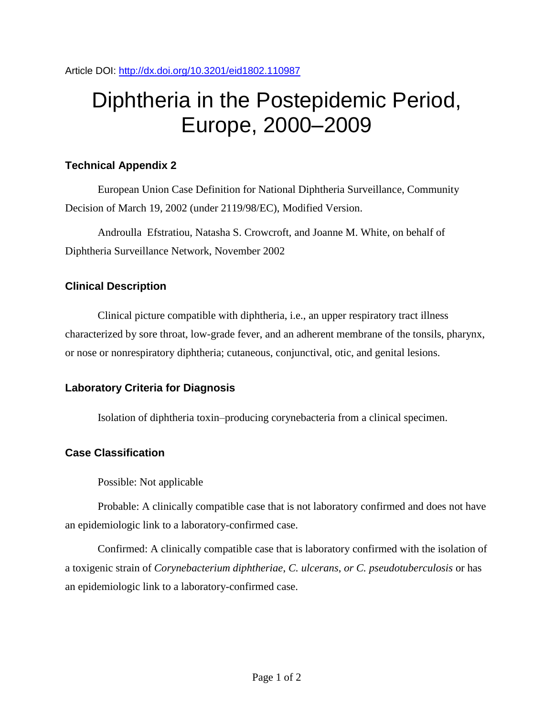# Diphtheria in the Postepidemic Period, Europe, 2000–2009

### **Technical Appendix 2**

European Union Case Definition for National Diphtheria Surveillance, Community Decision of March 19, 2002 (under 2119/98/EC), Modified Version.

Androulla Efstratiou, Natasha S. Crowcroft, and Joanne M. White, on behalf of Diphtheria Surveillance Network, November 2002

## **Clinical Description**

Clinical picture compatible with diphtheria, i.e., an upper respiratory tract illness characterized by sore throat, low-grade fever, and an adherent membrane of the tonsils, pharynx, or nose or nonrespiratory diphtheria; cutaneous, conjunctival, otic, and genital lesions.

## **Laboratory Criteria for Diagnosis**

Isolation of diphtheria toxin–producing corynebacteria from a clinical specimen.

## **Case Classification**

Possible: Not applicable

Probable: A clinically compatible case that is not laboratory confirmed and does not have an epidemiologic link to a laboratory-confirmed case.

Confirmed: A clinically compatible case that is laboratory confirmed with the isolation of a toxigenic strain of *Corynebacterium diphtheriae*, *C. ulcerans*, *or C. pseudotuberculosis* or has an epidemiologic link to a laboratory-confirmed case.